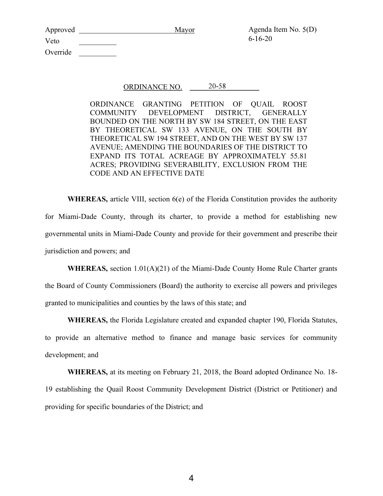| Approved | Mayor | Agenda Item No. $5(D)$ |
|----------|-------|------------------------|
| Veto     |       | $6 - 16 - 20$          |
| Override |       |                        |

## ORDINANCE NO.  $20 - 58$

ORDINANCE GRANTING PETITION OF QUAIL ROOST COMMUNITY DEVELOPMENT DISTRICT, GENERALLY BOUNDED ON THE NORTH BY SW 184 STREET, ON THE EAST BY THEORETICAL SW 133 AVENUE, ON THE SOUTH BY THEORETICAL SW 194 STREET, AND ON THE WEST BY SW 137 AVENUE; AMENDING THE BOUNDARIES OF THE DISTRICT TO EXPAND ITS TOTAL ACREAGE BY APPROXIMATELY 55.81 ACRES; PROVIDING SEVERABILITY, EXCLUSION FROM THE CODE AND AN EFFECTIVE DATE

WHEREAS, article VIII, section 6(e) of the Florida Constitution provides the authority for Miami-Dade County, through its charter, to provide a method for establishing new governmental units in Miami-Dade County and provide for their government and prescribe their jurisdiction and powers; and

WHEREAS, section 1.01(A)(21) of the Miami-Dade County Home Rule Charter grants the Board of County Commissioners (Board) the authority to exercise all powers and privileges granted to municipalities and counties by the laws of this state; and

WHEREAS, the Florida Legislature created and expanded chapter 190, Florida Statutes, to provide an alternative method to finance and manage basic services for community development; and

WHEREAS, at its meeting on February 21, 2018, the Board adopted Ordinance No. 18- 19 establishing the Quail Roost Community Development District (District or Petitioner) and providing for specific boundaries of the District; and

4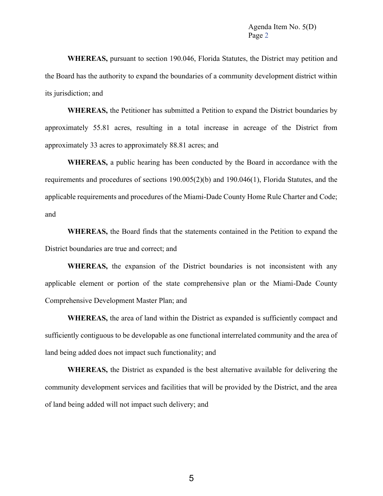WHEREAS, pursuant to section 190.046, Florida Statutes, the District may petition and the Board has the authority to expand the boundaries of a community development district within its jurisdiction; and

WHEREAS, the Petitioner has submitted a Petition to expand the District boundaries by approximately 55.81 acres, resulting in a total increase in acreage of the District from approximately 33 acres to approximately 88.81 acres; and

WHEREAS, a public hearing has been conducted by the Board in accordance with the requirements and procedures of sections 190.005(2)(b) and 190.046(1), Florida Statutes, and the applicable requirements and procedures of the Miami-Dade County Home Rule Charter and Code; and

WHEREAS, the Board finds that the statements contained in the Petition to expand the District boundaries are true and correct; and

WHEREAS, the expansion of the District boundaries is not inconsistent with any applicable element or portion of the state comprehensive plan or the Miami-Dade County Comprehensive Development Master Plan; and

WHEREAS, the area of land within the District as expanded is sufficiently compact and sufficiently contiguous to be developable as one functional interrelated community and the area of land being added does not impact such functionality; and

WHEREAS, the District as expanded is the best alternative available for delivering the community development services and facilities that will be provided by the District, and the area of land being added will not impact such delivery; and

5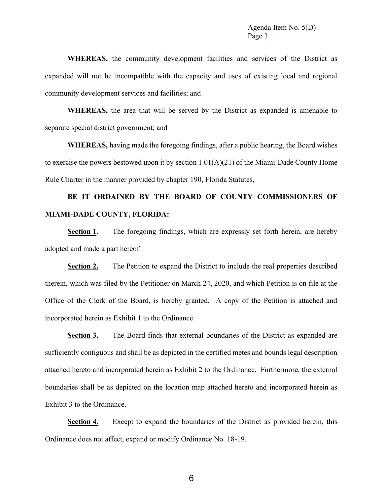WHEREAS, the community development facilities and services of the District as expanded will not be incompatible with the capacity and uses of existing local and regional community development services and facilities; and

WHEREAS, the area that will be served by the District as expanded is amenable to separate special district government; and

WHEREAS, having made the foregoing findings, after a public hearing, the Board wishes to exercise the powers bestowed upon it by section 1.01(A)(21) of the Miami-Dade County Home Rule Charter in the manner provided by chapter 190, Florida Statutes,

## BE IT ORDAINED BY THE BOARD OF COUNTY COMMISSIONERS OF MIAMI-DADE COUNTY, FLORIDA:

Section 1. The foregoing findings, which are expressly set forth herein, are hereby adopted and made a part hereof.

Section 2. The Petition to expand the District to include the real properties described therein, which was filed by the Petitioner on March 24, 2020, and which Petition is on file at the Office of the Clerk of the Board, is hereby granted. A copy of the Petition is attached and incorporated herein as Exhibit 1 to the Ordinance.

Section 3. The Board finds that external boundaries of the District as expanded are sufficiently contiguous and shall be as depicted in the certified metes and bounds legal description attached hereto and incorporated herein as Exhibit 2 to the Ordinance. Furthermore, the external boundaries shall be as depicted on the location map attached hereto and incorporated herein as Exhibit 3 to the Ordinance.

Section 4. Except to expand the boundaries of the District as provided herein, this Ordinance does not affect, expand or modify Ordinance No. 18-19.

6